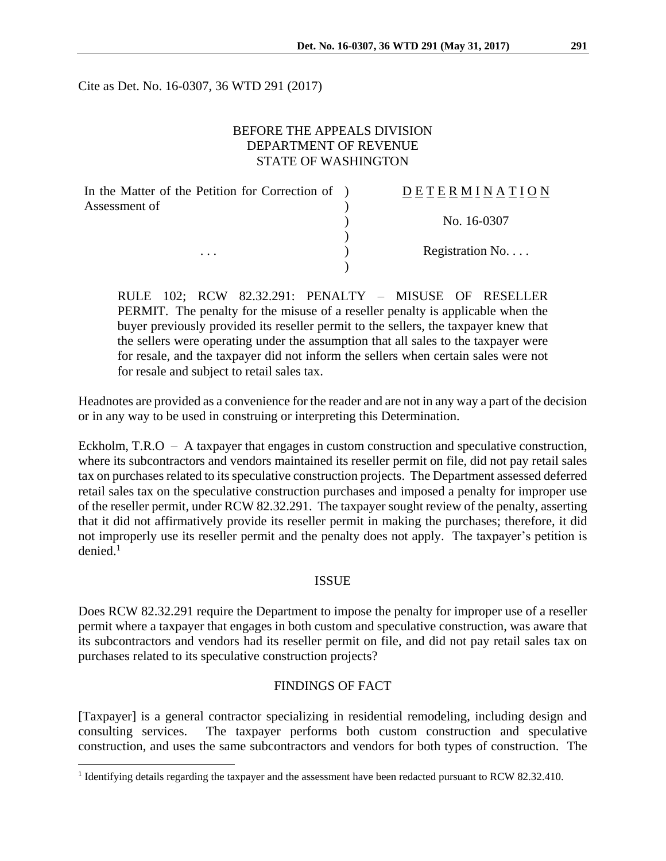Cite as Det. No. 16-0307, 36 WTD 291 (2017)

# BEFORE THE APPEALS DIVISION DEPARTMENT OF REVENUE STATE OF WASHINGTON

| In the Matter of the Petition for Correction of ) | <b>DETERMINATION</b> |
|---------------------------------------------------|----------------------|
| Assessment of                                     |                      |
|                                                   | No. 16-0307          |
|                                                   |                      |
| $\cdots$                                          | Registration No      |
|                                                   |                      |

RULE 102; RCW 82.32.291: PENALTY – MISUSE OF RESELLER PERMIT. The penalty for the misuse of a reseller penalty is applicable when the buyer previously provided its reseller permit to the sellers, the taxpayer knew that the sellers were operating under the assumption that all sales to the taxpayer were for resale, and the taxpayer did not inform the sellers when certain sales were not for resale and subject to retail sales tax.

Headnotes are provided as a convenience for the reader and are not in any way a part of the decision or in any way to be used in construing or interpreting this Determination.

Eckholm, T.R.O – A taxpayer that engages in custom construction and speculative construction, where its subcontractors and vendors maintained its reseller permit on file, did not pay retail sales tax on purchases related to its speculative construction projects. The Department assessed deferred retail sales tax on the speculative construction purchases and imposed a penalty for improper use of the reseller permit, under RCW 82.32.291. The taxpayer sought review of the penalty, asserting that it did not affirmatively provide its reseller permit in making the purchases; therefore, it did not improperly use its reseller permit and the penalty does not apply. The taxpayer's petition is  $denied<sup>1</sup>$ 

## ISSUE

Does RCW 82.32.291 require the Department to impose the penalty for improper use of a reseller permit where a taxpayer that engages in both custom and speculative construction, was aware that its subcontractors and vendors had its reseller permit on file, and did not pay retail sales tax on purchases related to its speculative construction projects?

### FINDINGS OF FACT

[Taxpayer] is a general contractor specializing in residential remodeling, including design and consulting services. The taxpayer performs both custom construction and speculative construction, and uses the same subcontractors and vendors for both types of construction. The

 $\overline{a}$ 

<sup>&</sup>lt;sup>1</sup> Identifying details regarding the taxpayer and the assessment have been redacted pursuant to RCW 82.32.410.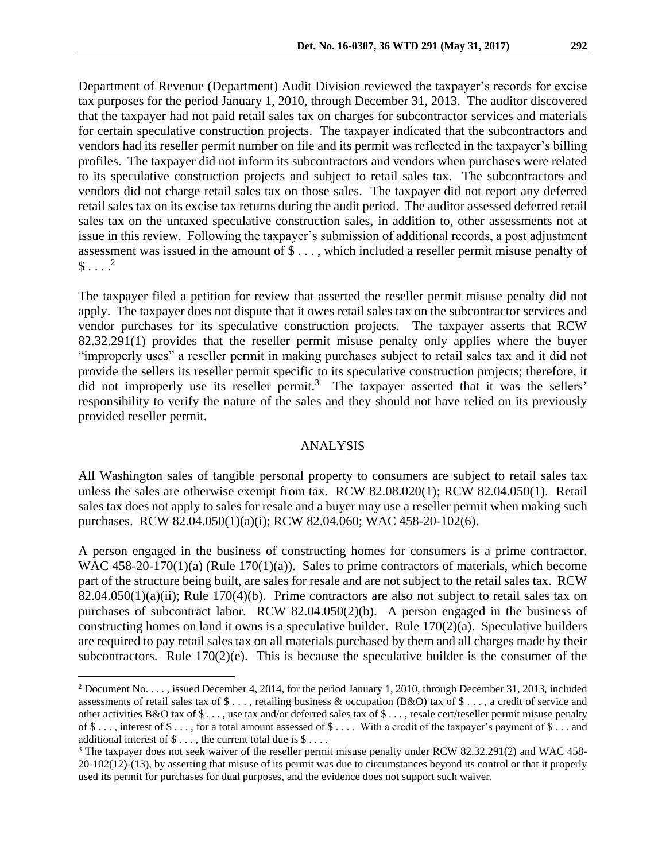Department of Revenue (Department) Audit Division reviewed the taxpayer's records for excise tax purposes for the period January 1, 2010, through December 31, 2013. The auditor discovered that the taxpayer had not paid retail sales tax on charges for subcontractor services and materials for certain speculative construction projects. The taxpayer indicated that the subcontractors and vendors had its reseller permit number on file and its permit was reflected in the taxpayer's billing profiles. The taxpayer did not inform its subcontractors and vendors when purchases were related to its speculative construction projects and subject to retail sales tax. The subcontractors and vendors did not charge retail sales tax on those sales. The taxpayer did not report any deferred retail sales tax on its excise tax returns during the audit period. The auditor assessed deferred retail sales tax on the untaxed speculative construction sales, in addition to, other assessments not at issue in this review. Following the taxpayer's submission of additional records, a post adjustment assessment was issued in the amount of \$ . . . , which included a reseller permit misuse penalty of  $\$\dots^2$ 

The taxpayer filed a petition for review that asserted the reseller permit misuse penalty did not apply. The taxpayer does not dispute that it owes retail sales tax on the subcontractor services and vendor purchases for its speculative construction projects. The taxpayer asserts that RCW 82.32.291(1) provides that the reseller permit misuse penalty only applies where the buyer "improperly uses" a reseller permit in making purchases subject to retail sales tax and it did not provide the sellers its reseller permit specific to its speculative construction projects; therefore, it did not improperly use its reseller permit.<sup>3</sup> The taxpayer asserted that it was the sellers' responsibility to verify the nature of the sales and they should not have relied on its previously provided reseller permit.

#### ANALYSIS

All Washington sales of tangible personal property to consumers are subject to retail sales tax unless the sales are otherwise exempt from tax. RCW 82.08.020(1); RCW 82.04.050(1). Retail sales tax does not apply to sales for resale and a buyer may use a reseller permit when making such purchases. RCW 82.04.050(1)(a)(i); RCW 82.04.060; WAC 458-20-102(6).

A person engaged in the business of constructing homes for consumers is a prime contractor. WAC 458-20-170(1)(a) (Rule 170(1)(a)). Sales to prime contractors of materials, which become part of the structure being built, are sales for resale and are not subject to the retail sales tax. RCW  $82.04.050(1)(a)(ii)$ ; Rule  $170(4)(b)$ . Prime contractors are also not subject to retail sales tax on purchases of subcontract labor. RCW 82.04.050(2)(b). A person engaged in the business of constructing homes on land it owns is a speculative builder. Rule 170(2)(a). Speculative builders are required to pay retail sales tax on all materials purchased by them and all charges made by their subcontractors. Rule 170(2)(e). This is because the speculative builder is the consumer of the

 $\overline{a}$ 

<sup>2</sup> Document No. . . . , issued December 4, 2014, for the period January 1, 2010, through December 31, 2013, included assessments of retail sales tax of \$ . . . , retailing business & occupation (B&O) tax of \$ . . . , a credit of service and other activities B&O tax of \$ . . . , use tax and/or deferred sales tax of \$ . . . , resale cert/reseller permit misuse penalty of \$ . . . , interest of \$ . . . , for a total amount assessed of \$ . . . . With a credit of the taxpayer's payment of \$ . . . and additional interest of  $\$\dots$ , the current total due is  $\$\dots$ .

<sup>&</sup>lt;sup>3</sup> The taxpayer does not seek waiver of the reseller permit misuse penalty under RCW 82.32.291(2) and WAC 458-20-102(12)-(13), by asserting that misuse of its permit was due to circumstances beyond its control or that it properly used its permit for purchases for dual purposes, and the evidence does not support such waiver.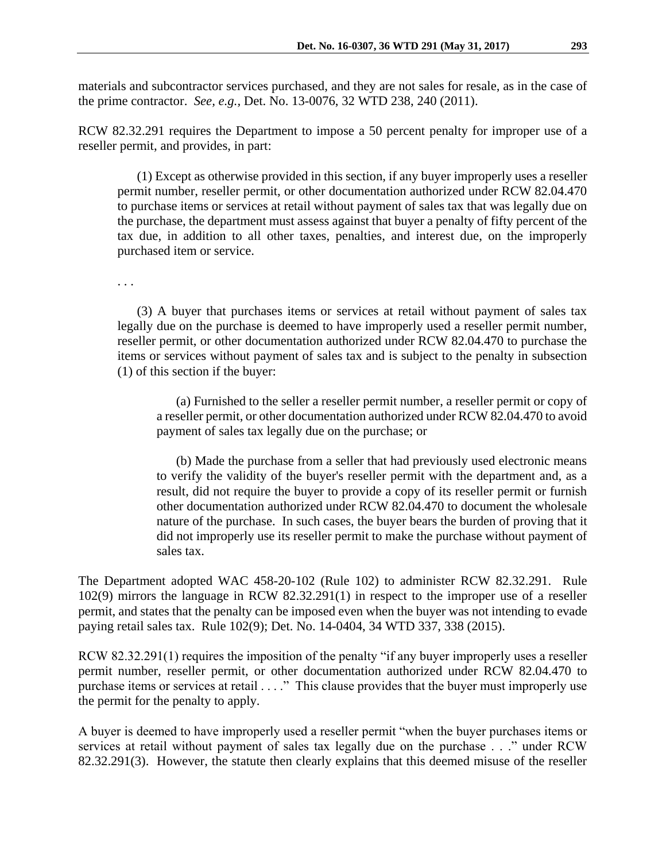materials and subcontractor services purchased, and they are not sales for resale, as in the case of the prime contractor. *See, e.g.,* Det. No. 13-0076, 32 WTD 238, 240 (2011).

RCW 82.32.291 requires the Department to impose a 50 percent penalty for improper use of a reseller permit, and provides, in part:

(1) Except as otherwise provided in this section, if any buyer improperly uses a reseller permit number, reseller permit, or other documentation authorized under RCW 82.04.470 to purchase items or services at retail without payment of sales tax that was legally due on the purchase, the department must assess against that buyer a penalty of fifty percent of the tax due, in addition to all other taxes, penalties, and interest due, on the improperly purchased item or service.

. . .

(3) A buyer that purchases items or services at retail without payment of sales tax legally due on the purchase is deemed to have improperly used a reseller permit number, reseller permit, or other documentation authorized under RCW 82.04.470 to purchase the items or services without payment of sales tax and is subject to the penalty in subsection (1) of this section if the buyer:

(a) Furnished to the seller a reseller permit number, a reseller permit or copy of a reseller permit, or other documentation authorized under RCW 82.04.470 to avoid payment of sales tax legally due on the purchase; or

(b) Made the purchase from a seller that had previously used electronic means to verify the validity of the buyer's reseller permit with the department and, as a result, did not require the buyer to provide a copy of its reseller permit or furnish other documentation authorized under RCW 82.04.470 to document the wholesale nature of the purchase. In such cases, the buyer bears the burden of proving that it did not improperly use its reseller permit to make the purchase without payment of sales tax.

The Department adopted WAC 458-20-102 (Rule 102) to administer RCW 82.32.291. Rule 102(9) mirrors the language in RCW 82.32.291(1) in respect to the improper use of a reseller permit, and states that the penalty can be imposed even when the buyer was not intending to evade paying retail sales tax. Rule 102(9); Det. No. 14-0404, 34 WTD 337, 338 (2015).

RCW 82.32.291(1) requires the imposition of the penalty "if any buyer improperly uses a reseller permit number, reseller permit, or other documentation authorized under RCW 82.04.470 to purchase items or services at retail . . . ." This clause provides that the buyer must improperly use the permit for the penalty to apply.

A buyer is deemed to have improperly used a reseller permit "when the buyer purchases items or services at retail without payment of sales tax legally due on the purchase . . ." under RCW 82.32.291(3). However, the statute then clearly explains that this deemed misuse of the reseller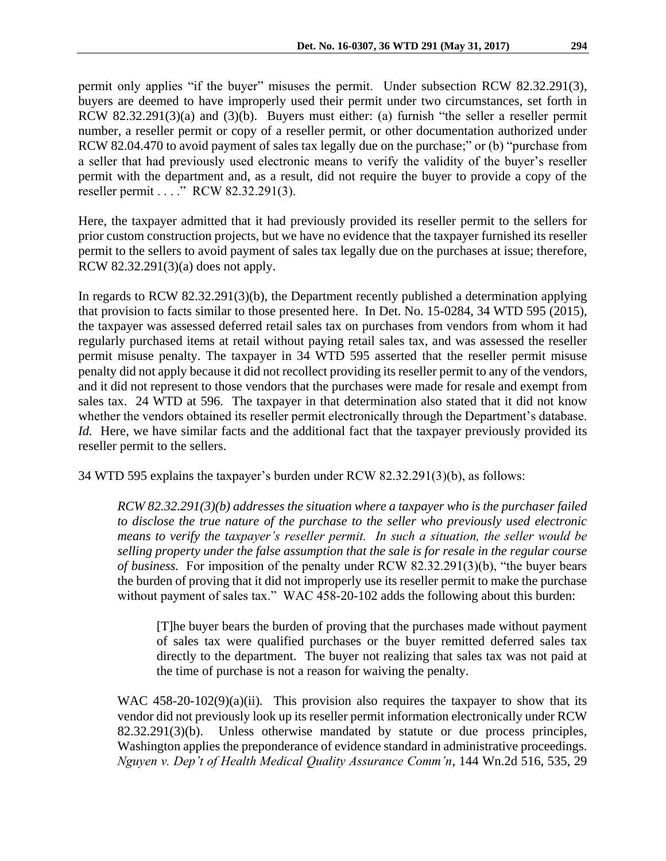permit only applies "if the buyer" misuses the permit. Under subsection RCW 82.32.291(3), buyers are deemed to have improperly used their permit under two circumstances, set forth in RCW 82.32.291(3)(a) and (3)(b). Buyers must either: (a) furnish "the seller a reseller permit number, a reseller permit or copy of a reseller permit, or other documentation authorized under RCW 82.04.470 to avoid payment of sales tax legally due on the purchase;" or (b) "purchase from a seller that had previously used electronic means to verify the validity of the buyer's reseller permit with the department and, as a result, did not require the buyer to provide a copy of the

reseller permit . . . ." RCW 82.32.291(3).

Here, the taxpayer admitted that it had previously provided its reseller permit to the sellers for prior custom construction projects, but we have no evidence that the taxpayer furnished its reseller permit to the sellers to avoid payment of sales tax legally due on the purchases at issue; therefore, RCW 82.32.291(3)(a) does not apply.

In regards to RCW 82.32.291(3)(b), the Department recently published a determination applying that provision to facts similar to those presented here. In Det. No. 15-0284, 34 WTD 595 (2015), the taxpayer was assessed deferred retail sales tax on purchases from vendors from whom it had regularly purchased items at retail without paying retail sales tax, and was assessed the reseller permit misuse penalty. The taxpayer in 34 WTD 595 asserted that the reseller permit misuse penalty did not apply because it did not recollect providing its reseller permit to any of the vendors, and it did not represent to those vendors that the purchases were made for resale and exempt from sales tax. 24 WTD at 596. The taxpayer in that determination also stated that it did not know whether the vendors obtained its reseller permit electronically through the Department's database. *Id.* Here, we have similar facts and the additional fact that the taxpayer previously provided its reseller permit to the sellers.

34 WTD 595 explains the taxpayer's burden under RCW 82.32.291(3)(b), as follows:

*RCW 82.32.291(3)(b) addresses the situation where a taxpayer who is the purchaser failed to disclose the true nature of the purchase to the seller who previously used electronic means to verify the taxpayer's reseller permit. In such a situation, the seller would be selling property under the false assumption that the sale is for resale in the regular course of business.* For imposition of the penalty under RCW 82.32.291(3)(b), "the buyer bears the burden of proving that it did not improperly use its reseller permit to make the purchase without payment of sales tax." WAC 458-20-102 adds the following about this burden:

[T]he buyer bears the burden of proving that the purchases made without payment of sales tax were qualified purchases or the buyer remitted deferred sales tax directly to the department. The buyer not realizing that sales tax was not paid at the time of purchase is not a reason for waiving the penalty.

WAC 458-20-102(9)(a)(ii). This provision also requires the taxpayer to show that its vendor did not previously look up its reseller permit information electronically under RCW 82.32.291(3)(b). Unless otherwise mandated by statute or due process principles, Washington applies the preponderance of evidence standard in administrative proceedings. *Nguyen v. Dep't of Health Medical Quality Assurance Comm'n*, 144 Wn.2d 516, 535, 29